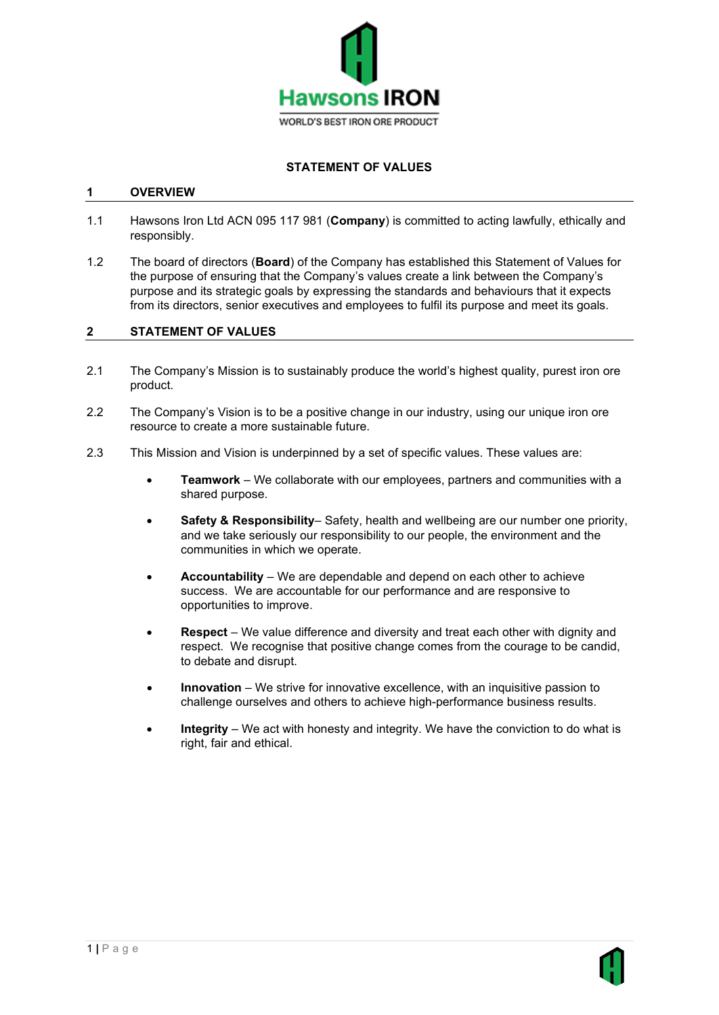

# **STATEMENT OF VALUES**

### **1 OVERVIEW**

- 1.1 Hawsons Iron Ltd ACN 095 117 981 (**Company**) is committed to acting lawfully, ethically and responsibly.
- 1.2 The board of directors (**Board**) of the Company has established this Statement of Values for the purpose of ensuring that the Company's values create a link between the Company's purpose and its strategic goals by expressing the standards and behaviours that it expects from its directors, senior executives and employees to fulfil its purpose and meet its goals.

#### **2 STATEMENT OF VALUES**

- 2.1 The Company's Mission is to sustainably produce the world's highest quality, purest iron ore product.
- 2.2 The Company's Vision is to be a positive change in our industry, using our unique iron ore resource to create a more sustainable future.
- 2.3 This Mission and Vision is underpinned by a set of specific values. These values are:
	- **Teamwork** We collaborate with our employees, partners and communities with a shared purpose.
	- **Safety & Responsibility** Safety, health and wellbeing are our number one priority, and we take seriously our responsibility to our people, the environment and the communities in which we operate.
	- **Accountability** We are dependable and depend on each other to achieve success. We are accountable for our performance and are responsive to opportunities to improve.
	- **Respect** We value difference and diversity and treat each other with dignity and respect. We recognise that positive change comes from the courage to be candid, to debate and disrupt.
	- **Innovation** We strive for innovative excellence, with an inquisitive passion to challenge ourselves and others to achieve high-performance business results.
	- **Integrity** We act with honesty and integrity. We have the conviction to do what is right, fair and ethical.